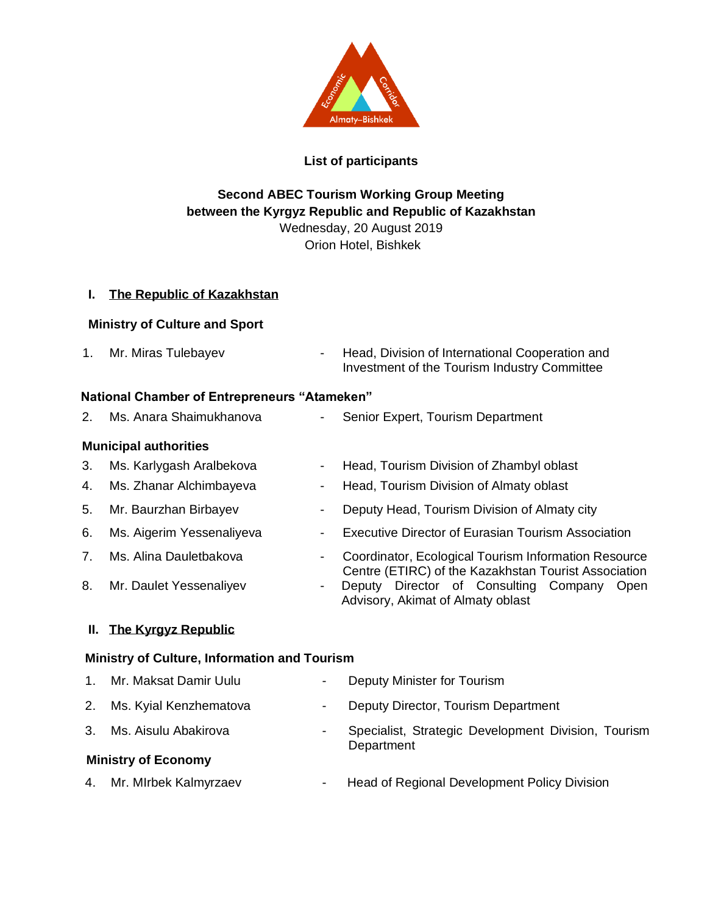

## **List of participants**

# **Second ABEC Tourism Working Group Meeting between the Kyrgyz Republic and Republic of Kazakhstan** Wednesday, 20 August 2019

Orion Hotel, Bishkek

### **I. The Republic of Kazakhstan**

### **Ministry of Culture and Sport**

1. Mr. Miras Tulebayev **- Head, Division of International Cooperation and** Investment of the Tourism Industry Committee

### **National Chamber of Entrepreneurs "Atameken"**

2. Ms. Anara Shaimukhanova **- Senior Expert, Tourism Department** 

### **Municipal authorities**

- 
- 
- 
- 
- 
- 

# **II. The Kyrgyz Republic**

### **Ministry of Culture, Information and Tourism**

1. Mr. Maksat Damir Uulu - Deputy Minister for Tourism

**Department** 

- 2. Ms. Kyial Kenzhematova  **Deputy Director, Tourism Department**
- 
- 
- 3. Ms. Aisulu Abakirova The Specialist, Strategic Development Division, Tourism

### **Ministry of Economy**

4. Mr. MIrbek Kalmyrzaev **- Head of Regional Development Policy Division** 

- 3. Ms. Karlygash Aralbekova Head, Tourism Division of Zhambyl oblast
- 4. Ms. Zhanar Alchimbayeva  **Head, Tourism Division of Almaty oblast**
- 5. Mr. Baurzhan Birbayev Cheputy Head, Tourism Division of Almaty city
- 6. Ms. Aigerim Yessenaliyeva  **Executive Director of Eurasian Tourism Association**
- 7. Ms. Alina Dauletbakova  **Coordinator, Ecological Tourism Information Resource** Centre (ETIRC) of the Kazakhstan Tourist Association
- 8. Mr. Daulet Yessenaliyev **-** Deputy Director of Consulting Company Open Advisory, Akimat of Almaty oblast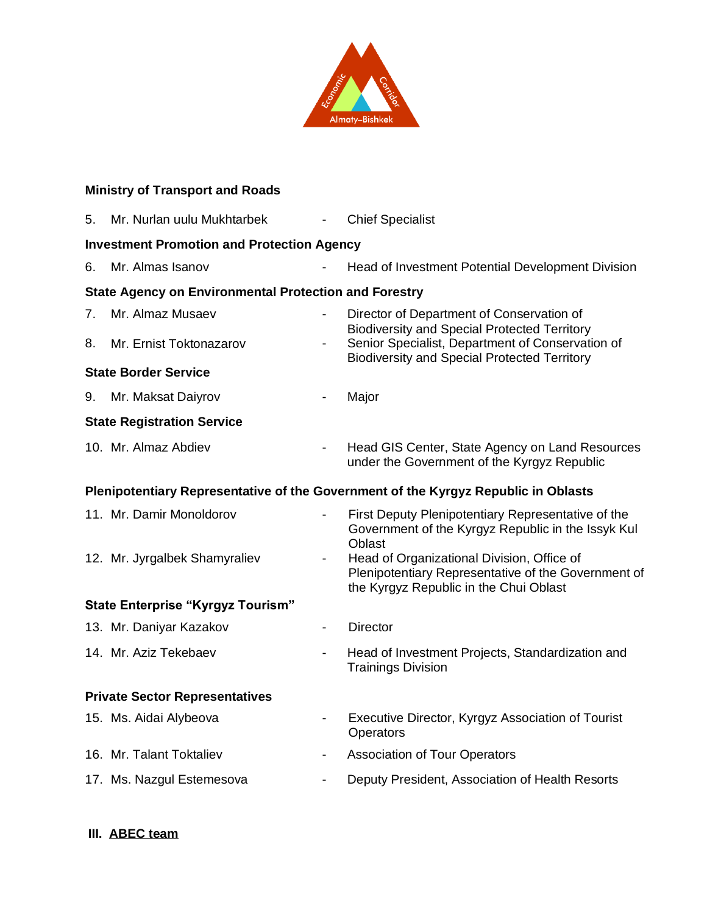

# **Ministry of Transport and Roads**

| 5.                                                                                 | Mr. Nurlan uulu Mukhtarbek    |                          | <b>Chief Specialist</b>                                                                                                                                        |
|------------------------------------------------------------------------------------|-------------------------------|--------------------------|----------------------------------------------------------------------------------------------------------------------------------------------------------------|
| <b>Investment Promotion and Protection Agency</b>                                  |                               |                          |                                                                                                                                                                |
| 6.                                                                                 | Mr. Almas Isanov              |                          | Head of Investment Potential Development Division                                                                                                              |
| <b>State Agency on Environmental Protection and Forestry</b>                       |                               |                          |                                                                                                                                                                |
| 7.                                                                                 | Mr. Almaz Musaev              |                          | Director of Department of Conservation of                                                                                                                      |
| 8.                                                                                 | Mr. Ernist Toktonazarov       | $\overline{\phantom{a}}$ | <b>Biodiversity and Special Protected Territory</b><br>Senior Specialist, Department of Conservation of<br><b>Biodiversity and Special Protected Territory</b> |
| <b>State Border Service</b>                                                        |                               |                          |                                                                                                                                                                |
| 9.                                                                                 | Mr. Maksat Daiyrov            |                          | Major                                                                                                                                                          |
| <b>State Registration Service</b>                                                  |                               |                          |                                                                                                                                                                |
|                                                                                    | 10. Mr. Almaz Abdiev          | $\overline{\phantom{a}}$ | Head GIS Center, State Agency on Land Resources<br>under the Government of the Kyrgyz Republic                                                                 |
| Plenipotentiary Representative of the Government of the Kyrgyz Republic in Oblasts |                               |                          |                                                                                                                                                                |
|                                                                                    | 11. Mr. Damir Monoldorov      |                          | First Deputy Plenipotentiary Representative of the<br>Government of the Kyrgyz Republic in the Issyk Kul<br><b>Oblast</b>                                      |
|                                                                                    | 12. Mr. Jyrgalbek Shamyraliev | $\overline{\phantom{a}}$ | Head of Organizational Division, Office of<br>Plenipotentiary Representative of the Government of<br>the Kyrgyz Republic in the Chui Oblast                    |
| <b>State Enterprise "Kyrgyz Tourism"</b>                                           |                               |                          |                                                                                                                                                                |
|                                                                                    | 13. Mr. Daniyar Kazakov       |                          | <b>Director</b>                                                                                                                                                |
|                                                                                    | 14. Mr. Aziz Tekebaev         | $\overline{\phantom{a}}$ | Head of Investment Projects, Standardization and<br><b>Trainings Division</b>                                                                                  |
| <b>Private Sector Representatives</b>                                              |                               |                          |                                                                                                                                                                |
|                                                                                    | 15. Ms. Aidai Alybeova        |                          | Executive Director, Kyrgyz Association of Tourist<br>Operators                                                                                                 |
|                                                                                    | 16. Mr. Talant Toktaliev      | $\overline{\phantom{a}}$ | <b>Association of Tour Operators</b>                                                                                                                           |
|                                                                                    | 17. Ms. Nazgul Estemesova     | $\overline{\phantom{0}}$ | Deputy President, Association of Health Resorts                                                                                                                |

**III. ABEC team**